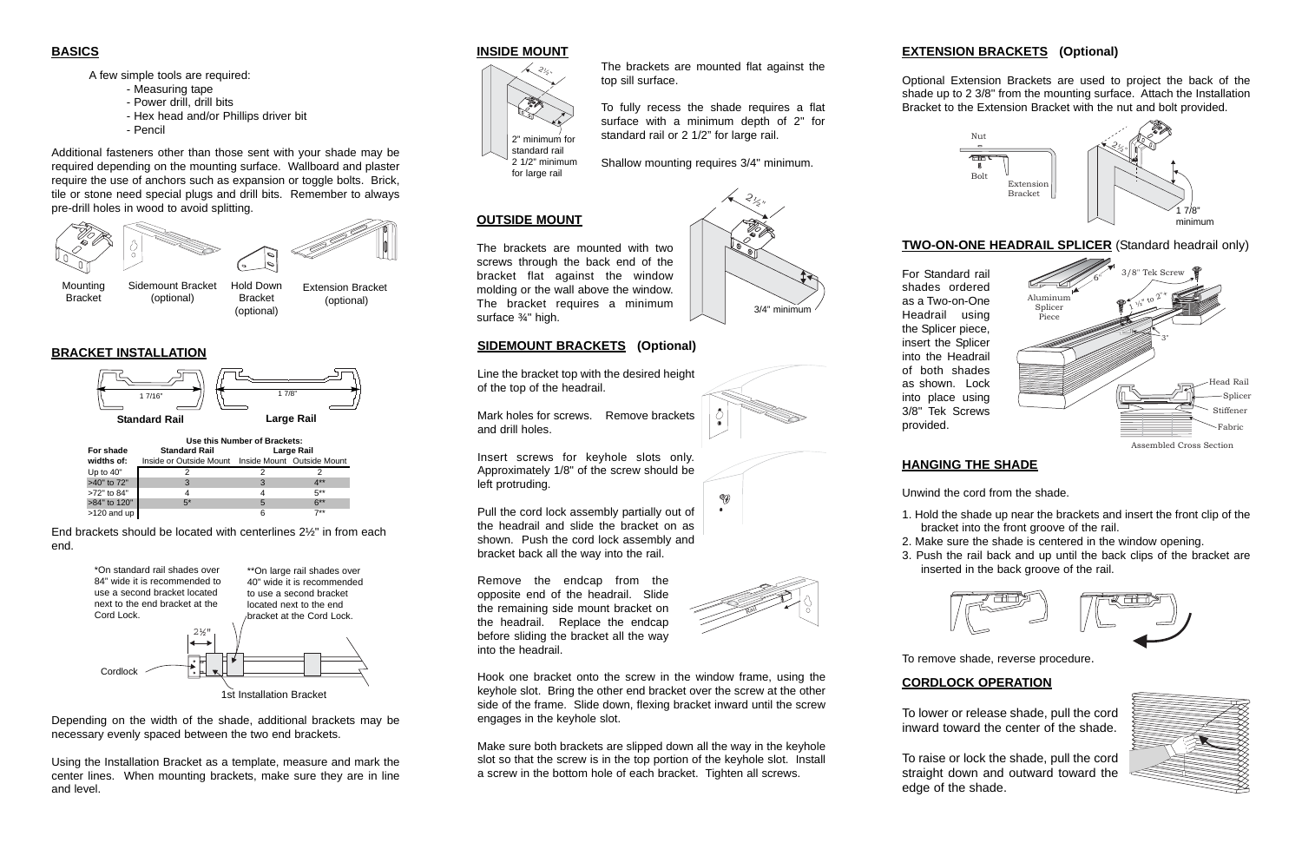### **BASICS**

A few simple tools are required:

- Measuring tape
- Power drill, drill bits
- Hex head and/or Phillips driver bit
- Pencil

Additional fasteners other than those sent with your shade may be required depending on the mounting surface. Wallboard and plaster require the use of anchors such as expansion or toggle bolts. Brick, tile or stone need special plugs and drill bits. Remember to always pre-drill holes in wood to avoid splitting.

|              | Use this Number of Brackets:                       |            |        |
|--------------|----------------------------------------------------|------------|--------|
| For shade    | <b>Standard Rail</b>                               | Large Rail |        |
| widths of:   | Inside or Outside Mount Inside Mount Outside Mount |            |        |
| Up to 40"    |                                                    |            |        |
| >40" to 72"  | 3                                                  | 3          | 4**    |
| >72" to 84"  | 4                                                  |            | $5***$ |
| >84" to 120" | $5*$                                               | 5          | $6***$ |
| >120 and up  |                                                    | 6          | $7**$  |



Depending on the width of the shade, additional brackets may be necessary evenly spaced between the two end brackets.

Using the Installation Bracket as a template, measure and mark the center lines. When mounting brackets, make sure they are in line and level.



1. Hold the shade up near the brackets and insert the front clip of the bracket into the front groove of the rail.

### **BRACKET INSTALLATION**

End brackets should be located with centerlines 2½" in from each end.

### **INSIDE MOUNT**

The brackets are mounted flat against the top sill surface.

To fully recess the shade requires a flat surface with a minimum depth of 2" for standard rail or 2 1/2" for large rail.

Shallow mounting requires 3/4" minimum.

# $\partial_{\zeta}$ ",



Bracket



Bracket (optional)

(optional)

**OUTSIDE MOUNT**

The brackets are mounted with two screws through the back end of the bracket flat against the window molding or the wall above the window. The bracket requires a minimum

surface ¾" high.









**GJ** 

## **EXTENSION BRACKETS (Optional)**

Optional Extension Brackets are used to project the back of the shade up to 2 3/8" from the mounting surface. Attach the Installation Bracket to the Extension Bracket with the nut and bolt provided.

### **HANGING THE SHADE**

Unwind the cord from the shade.

- 
- 
- -



2. Make sure the shade is centered in the window opening. 3. Push the rail back and up until the back clips of the bracket are inserted in the back groove of the rail.



To remove shade, reverse procedure.



For Standard rail shades ordered as a Two-on-One Headrail using the Splicer piece, insert the Splicer into the Headrail of both shades as shown. Lock into place using 3/8" Tek Screws provided.

### Assembled Cross Section

# **CORDLOCK OPERATION**

To lower or release shade, pull the cord inward toward the center of the shade.

To raise or lock the shade, pull the cord straight down and outward toward the edge of the shade.

**SIDEMOUNT BRACKETS (Optional)**

Line the bracket top with the desired height

of the top of the headrail.

Mark holes for screws. Remove brackets

and drill holes.

Insert screws for keyhole slots only. Approximately 1/8" of the screw should be

left protruding.

Pull the cord lock assembly partially out of the headrail and slide the bracket on as shown. Push the cord lock assembly and bracket back all the way into the rail.

Remove the endcap from the opposite end of the headrail. Slide the remaining side mount bracket on the headrail. Replace the endcap before sliding the bracket all the way into the headrail.

Hook one bracket onto the screw in the window frame, using the keyhole slot. Bring the other end bracket over the screw at the other side of the frame. Slide down, flexing bracket inward until the screw engages in the keyhole slot.

Make sure both brackets are slipped down all the way in the keyhole slot so that the screw is in the top portion of the keyhole slot. Install a screw in the bottom hole of each bracket. Tighten all screws.